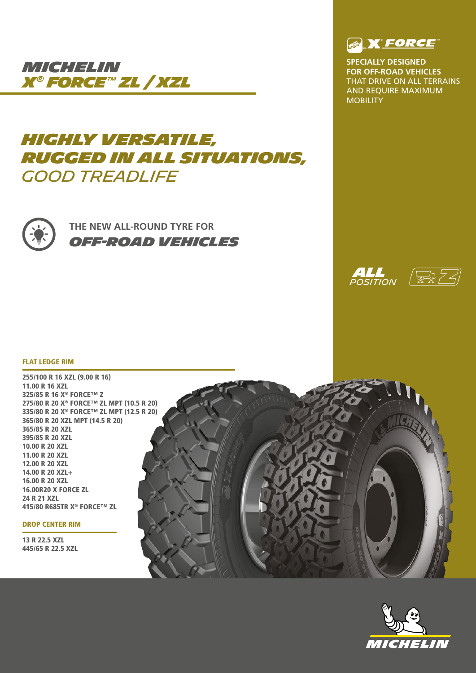

# *HIGHLY VERSATILE, RUGGED IN ALL SITUATIONS, GOOD TREADLIFE*



**THE NEW ALL-ROUND TYRE FOR** *OFF-ROAD VEHICLES*



**SPECIALLY DESIGNED FOR OFF-ROAD VEHICLES**  THAT DRIVE ON ALL TERRAINS AND REQUIRE MAXIMUM **MOBILITY** 





### FLAT LEDGE RIM

255/100 R 16 XZL (9.00 R 16) 11.00 R 16 XZL 325/85 R 16 X® FORCE™ Z 275/80 R 20 X® FORCE™ ZL MPT (10.5 R 20) 335/80 R 20 X® FORCE™ ZL MPT (12.5 R 20) 365/80 R 20 XZL MPT (14.5 R 20) 365/85 R 20 XZL 395/85 R 20 XZL 10.00 R 20 XZL 11.00 R 20 XZL 12.00 R 20 XZL 14.00 R 20 XZL+ 16.00 R 20 XZL 16.00R20 X FORCE ZL 24 R 21 XZL 415/80 R685TR X® FORCE™ ZL

### DROP CENTER RIM

13 R 22.5 XZL 445/65 R 22.5 XZL